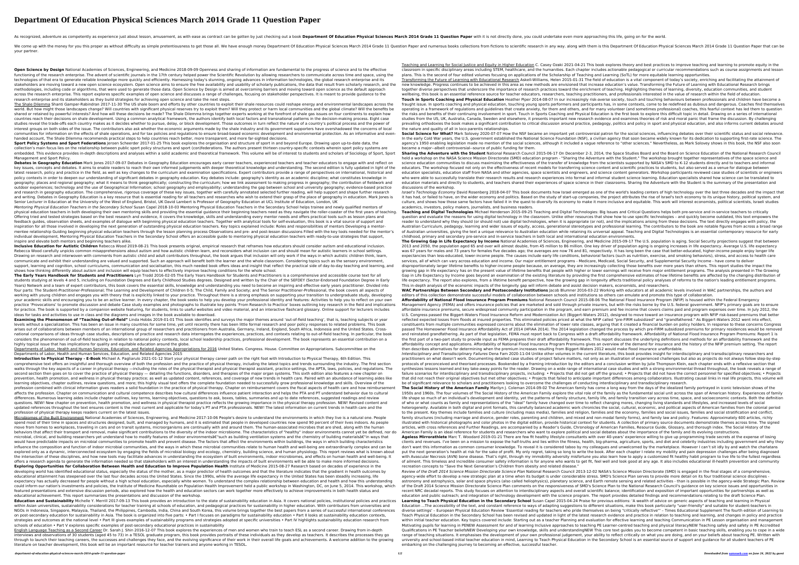## **Department Of Education Physical Sciences March 2014 Grade 11 Question Paper**

As recognized, adventure as competently as experience just about lesson, amusement, as with ease as contract can be gotten by just checking out a book Department Of Education Physical Sciences March 2014 Grade 11 Question

We come up with the money for you this proper as without difficulty as simple pretentiousness to get those all. We have enough money Department Of Education Physical Sciences March 2014 Grade 11 Question Physical Sciences your partner.

**Open Science by Design** National Academies of Sciences, Engineering, and Medicine 2018-09-09 Openness and sharing of information are fundamental to the progress of science and to the effective functioning of the research enterprise. The advent of scientific journals in the 17th century helped power the Scientific Revolution by allowing researchers to communicate across time and space, using the technologies of that era to generate reliable knowledge more quickly and efficiently. Harnessing today's stunning, ongoing advances in information technologies, the global research enterprise and its stakeholders are moving toward a new open science ecosystem. Open science aims to ensure the free availability and usability of scholarly publications, the data that result from scholarly research, and the methodologies, including code or algorithms, that were used to generate those data. Open Science by Design is aimed at overcoming barriers and moving toward open science as the default approach across the research enterprise. This report explores specific examples of open science and discusses a range of challenges, focusing on stakeholder perspectives. It is meant to provide guidance to the research enterprise and its stakeholders as they build strategies for achieving open science and take the next steps.

**Sport Policy Systems and Sport Federations** Jeroen Scheerder 2017-01-25 This book explores the organisation and structure of sport in and beyond Europe. Drawing upon up-to-date data, the collection's main focus lies on the relationship between public sport policy structures and sport (con)federations. The authors present thirteen country-specific contexts wherein sport policy systems are Management and Sport Policy.

The Shale Dilemma Shanti Gamper-Rabindran 2017-11-30 The US shale boom and efforts by other countries to exploit their shale resources could reshape energy and environmental landscapes across the world. But how might those landscapes change? Will countries with significant physical reserves try to exploit them? Will they protect or harm local communities and the global climate? Will the benefits be shared or retained by powerful interests? And how will these decisions be made? The Shale Dilemma brings together experts working at the forefront of shale gas issues on four continents to explain how countries reach their decisions on shale development. Using a common analytical framework, the authors identify both local factors and transnational patterns in the decision-making process. Eight case studies reveal the trade-offs each country makes as it decides whether to pursue, delay, or block development. Those outcomes in turn reflect the nature of a country's political process and the power of interest groups on both sides of the issue. The contributors also ask whether the economic arguments made by the shale industry and its government supporters have overshadowed the concerns of local communities for information on the effects of shale operations, and for tax policies and regulations to ensure broad-based economic development and environmental protection. As an informative and evenhanded account, The Shale Dilemma recommends practical steps to help countries reach better, more transparent, and more far-sighted decisions.

Inclusive Education for Autistic Children Rebecca Wood 2019-08-21 This book presents original, empirical research that reframes how educators should consider autism and educational inclusion Rebecca Wood carefully unpicks common misapprehensions about autism and how autistic children learn, and reconsiders what inclusion can and should mean for autistic learners in school settings. Drawing on research and interwoven with comments from autistic child and adult contributors throughout, the book argues that inclusion will only work if the ways in which autistic children think, learn, communicate and exhibit their understanding are valued and supported. Such an approach will benefit both the learner and the whole classroom. Considering topics such as the sensory environment, support, learning and cognition, school curriculums, communication and socialisation, this much needed book offers ideas and insight that reflect the practical side of day-to-day teaching and learning, and shows how thinking differently about autism and inclusion will equip teachers to effectively improve teaching conditions for the whole school.

**Examining the Phenomenon of "Teaching Out-of-field"** Linda Hobbs 2019-01-01 This book identifies and surveys the major themes around 'out-of-field teaching', that is, teaching subjects or year levels without a specialization. This has been an issue in many countries for some time, yet until recently there has been little formal research and poor policy responses to related problems. This book arises out of collaborations between members of an international group of researchers and practitioners from Australia, Germany, Ireland, England, South Africa, Indonesia and the United States. Crossnational comparisons of ideas through case studies, descriptions of practice and research data interrogates the experiences, practices, and contexts relating to out-of-field teaching. In particular, the book considers the phenomenon of out-of-field teaching in relation to national policy contexts, local school leadership practices, professional development. The book represents an essential contribution on a highly topical issue that has implications for quality and equitable education around the globe.

Departments of Labor, Health and Human Services, Education, and Related Agencies Appropriations for 2016 United States. Congress. House. Committee on Appropriations. Subcommittee on the Departments of Labor, Health and Human Services, Education, and Related Agencies 2015

Introduction to Physical Therapy - E-Book Michael A. Pagliarulo 2021-01-12 Start your physical therapy career path on the right foot with Introduction to Physical Therapy, 6th Edition. This comprehensive text offers an insightful and thorough overview of both the profession and the practice of physical therapy, including the latest topics and trends surrounding the industry. The first section walks through the key aspects of a career in physical therapy —including the roles of the physical therapist and physical therapist assistant, practice settings, the APTA, laws, policies, and regulations. The second section then goes on to cover the practice of physical therapy — detailing the functions, disorders, and therapies of the major organ systems. This sixth edition also features a new chapter on prevention, health promotion, and wellness in physical therapy practice; as well as updated content, references, and coverage of new trends in health care. Paired with an abundance of learning aides like learning objectives, chapter outlines, review questions, and more; this highly visual text offers the complete foundation needed to successfully grow professional knowledge and skills. Overview of the profession combined with clinical information gives readers a solid foundation in the practice of physical therapy. Chapter on reimbursement covers the fiscal aspects of health care and how reimbursement affects the profession. Chapter on communication and cultural competence describes how cultural differences influence patient interaction and helps the PTA and PT understand behavior due to cultural differences. Numerous learning aides include chapter outlines, key terms, learning objectives, questions to ask, boxes, tables, summaries and up to date references, suggested readings and review questions. NEW! New chapter on prevention, health promotion, and wellness in physical therapist practice reflects the growing importance in the physical therapy profession. NEW! Revised content and updated references throughout the text ensures content is the most current and applicable for today's PT and PTA professionals. NEW! The latest information on current trends in health care and the profession of physical therapy keeps readers current on the latest issues.

Microbiomes of the Built Environment National Academies of Sciences, Engineering, and Medicine 2017-10-06 People's desire to understand the environments in which they live is a natural one. People spend most of their time in spaces and structures designed, built, and managed by humans, and it is estimated that people in developed countries now spend 90 percent of their lives indoors. As people move from homes to workplaces, traveling in cars and on transit systems, microorganisms are continually with and around them. The human-associated microbes that are shed, along with the human behaviors that affect their transport and removal, make significant contributions to the diversity of the indoor microbiome. The characteristics of "healthy" indoor environments cannot yet be defined, nor do microbial, clinical, and building researchers yet understand how to modify features of indoor environmentsâ€"such as building ventilation systems and the chemistry of building materialsâ€"in ways that would have predictable impacts on microbial communities to promote health and prevent disease. The factors that affect the environments within buildings, the ways in which building characteristics influence the composition and function of indoor microbial communities, and the ways in which these microbial communities relate to human health and well-being are extraordinarily complex and can be explored only as a dynamic, interconnected ecosystem by engaging the fields of microbial biology and ecology, chemistry, building science, and human physiology. This report reviews what is known about the intersection of these disciplines, and how new tools may facilitate advances in understanding the ecosystem of built environments, indoor microbiomes, and effects on human health and well-being. It offers a research agenda to generate the information needed so that stakeholders with an interest in understanding the impacts of built environments will be able to make more informed decisions. **Exploring Opportunities for Collaboration Between Health and Education to Improve Population Health** Institute of Medicine 2015-08-27 Research based on decades of experience in the developing world has identified educational status, especially the status of the mother, as a major predictor of health outcomes and that the literature indicates that the gradient in health outcomes by educational attainment has steepened over the last four decades across the United States. Since the 1990s, while the average life expectancy in the United States has been steadily increasing, life expectancy has actually decreased for people without a high school education, especially white women. To understand the complex relationship between education and health and how this understanding could inform our nation's investments and policies, the Institute of Medicine Roundtable on Population Health Improvement held a public workshop in Washington, DC, on June 5, 2014. This workshop, which featured presentations and extensive discussion periods, also explored how the health and education sectors can work together more effectively to achieve improvements in both health status and educational achievement. This report summarizes the presentations and discussion of the workshop.

English Language Teaching as a Second Career Dr. Sarah J. Shin 2016-12-07 This book explores the experiences of men and women who train to teach ESL as a second career. Drawing from in-depth interviews and observations of 30 students (aged 45 to 73) in a TESOL graduate program, this book provides portraits of these individuals as they develop as teachers. It describes the processes they go through to launch their teaching careers, the successes and challenges they face, and the evolving significance of their work in their overall life goals and achievements. A welcome addition to the growing literature on teacher development, this book will be an important resource for teacher trainers and anyone working in TESOL.

**The Early Years Handbook for Students and Practitioners** Lyn Trodd 2016-02-05 The Early Years Handbook for Students and Practitioners is a comprehensive and accessible course text for all students studying at levels 4 and 5, including on Foundation Degrees and Early Childhood Studies degrees. Designed and written by the Chair of the SEFDEY (Sector-Endorsed Foundation Degree in Early Years) Network and a team of expert contributors, this book covers the essential skills, knowledge and understanding you need to become an inspiring and effective early years practitioner. Divided into four parts: The Student-Practitioner-Professional; The Learning and Development of Children 0-5; The Child, Family and Society; and The Senior Practitioner-Professional, the book covers all aspects of working with young children and engages you with theory that is explicitly linked to your practice. Throughout there is a strong emphasis on supporting your transition to undergraduate study, developing your academic skills and encouraging you to be an active learner. In every chapter, the book seeks to help you develop your professional identity and features: Activities to help you to reflect on your own practice 'Provocations' to promote discussion and debate Case study examples and photographs to illustrate key points 'From Research to Practice' boxes outlining key research in the field and implications for practice. The book is supported by a companion website featuring, for students, links to useful websites and video material, and an interactive flashcard glossary. Online support for lecturers includes ideas for tasks and activities to use in class and the diagrams and images in the book available to download.

**Social Science for What?** Mark Solovey 2020-07-07 How the NSF became an important yet controversial patron for the social sciences, influencing debates over their scientific status and social relevance. In the early Cold War years, the U.S. government established the National Science Foundation (NSF), a civilian agency that soon became widely known for its dedication to supporting first-rate science. The agency's 1950 enabling legislation made no mention of the social sciences, although it included a vague reference to "other sciences." Nevertheless, as Mark Solovey shows in this book, the NSF also soon became a major--albeit controversial--source of public funding for them.

embedded. This evidence provides in-depth descriptions and analyses within a solid academic and theoretical framework. This volume will be of interest to students and scholars of Sociology of Sport, Sport Debates in Geography Education Mark Jones 2017-09-07 Debates in Geography Education encourages early career teachers, experienced teachers and teacher educators to engage with and reflect on key issues, concepts and debates. It aims to enable readers to reach their own informed judgements with deeper theoretical knowledge and understanding. The second edition is fully updated in light of the latest research, policy and practice in the field, as well as key changes to the curriculum and examination specifications. Expert contributors provide a range of perspectives on international, historical and policy contexts in order to deepen our understanding of significant debates in geography education. Key debates include: geography's identity as an academic discipline; what constitutes knowledge in geography; places and regional geography; what it means to think geographically; constructing the curriculum; how we link assessment to making progress in geography; the contribution of fieldwork and outdoor experiences; technology and the use of Geographical Information; school geography and employability; understanding the gap between school and university geography; evidence-based practice and research in geography education. The comprehensive, rigorous coverage of these key issues, together with carefully annotated selected further reading, will help support and shape further research and writing. Debates in Geography Education is a key resource that is essential reading for all teachers and researches who wish to extend their grasp of the place of geography in education. Mark Jones is Senior Lecturer in Education at the University of the West of England, Bristol, UK David Lambert is Professor of Geography Education at UCL Institute of Education, London, UK Mentoring Physical Education Teachers in the Secondary School Susan Capel 2018-10-03 Mentoring Physical Education Teachers in the Secondary School helps trainee and newly qualified mentors of physical education teachers in both developing their own mentoring skills and providing the essential guidance their beginning teachers need as they navigate the roller-coaster of the first years of teaching. Offering tried and tested strategies based on the best research and evidence, it covers the knowledge, skills and understanding every mentor needs and offers practical tools such as lesson plans and feedback guides, observation sheets, and examples of dialogue with beginning physical education teachers. Together with analytical tools for self-evaluation, this book is a vital source of support and inspiration for all those involved in developing the next generation of outstanding physical education teachers. Key topics explained include: Roles and responsibilities of mentors Developing a mentormentee relationship Guiding beginning physical education teachers through the lesson planning process Observations and pre- and post-lesson discussions Filled with the key tools needed for the mentor's individual development, Mentoring Physical Education Teachers in the Secondary School offers an accessible guide to mentoring physical education teachers with ready-to-use strategies that support, inspire and elevate both mentors and beginning teachers alike. **Sharing the Adventure with the Student** National Research Council 2015-06-17 On December 2-3, 2014, the Space Studies Board and the Board on Science Education of the National Research Council held a workshop on the NASA Science Mission Directorate (SMD) education program - "Sharing the Adventure with the Student." The workshop brought together representatives of the space science and science education communities to discuss maximizing the effectiveness of the transfer of knowledge from the scientists supported by NASA's SMD to K-12 students directly and to teachers and informal educators. The workshop focused not only on the effectiveness of recent models for transferring science content and scientific practices to students, but also served as a venue for dialogue between education specialists, education staff from NASA and other agencies, space scientists and engineers, and science content generators. Workshop participants reviewed case studies of scientists or engineers who were able to successfully translate their research results and research experiences into formal and informal student science learning. Education specialists shared how science can be translated to education materials and directly to students, and teachers shared their experiences of space science in their classrooms. Sharing the Adventure with the Student is the summary of the presentation and discussions of the workshop. Israel's Technology Economy David Rosenberg 2018-04-07 This book documents how Israel emerged as one of the world's leading centers of high technology over the last three decades and the impact that it has had, or failed to have, on the wider economy and politics. Based on the study of start-up companies, the project attributes the rise of Israel's tech economy to its unique history, political system, and culture, and shows how those same factors have failed it in the quest to diversify its economy to make it more inclusive and equitable. This work will interest economists, political scientists, Israeli studies academics, investors, policy makers, journalists, and business readers. **Teaching and Digital Technologies** Michael Henderson 2015-09-25 Teaching and Digital Technologies: Big Issues and Critical Questions helps both pre-service and in-service teachers to critically question and evaluate the reasons for using digital technology in the classroom. Unlike other resources that show how to use specific technologies – and quickly become outdated, this text empowers the reader to understand why they should (or should not) use digital technologies, when it is appropriate (or not), and the implications arising from these decisions. The text directly engages with policy, the Australian Curriculum, pedagogy, learning and wider issues of equity, access, generational stereotypes and professional learning. The contributors to the book are notable figures from across a broad range of Australian universities, giving the text a unique relevance to Australian education while retaining its universal appeal. Teaching and Digital Technologies is an essential contemporary resource for early childhood, primary and secondary pre-service and in-service teachers in both local and international education environments. **The Growing Gap in Life Expectancy by Income** National Academies of Sciences, Engineering, and Medicine 2015-09-17 The U.S. population is aging. Social Security projections suggest that between

**Education and Sustainability** Michelle Y. Merrill 2017-09-13 This book provides an introduction to the state of sustainability education in Asia. It covers national policies, institutional policies and practices within Asian universities, sustainability considerations for teacher training at schools of education, and pedagogical practices for sustainability in higher education. With contributors from universities and NGOs in Indonesia, Singapore, Malaysia, Thailand, the Philippines, Cambodia, India, China and South Korea, this volume brings together the best papers from a series of successful international conferences on post-secondary education for sustainability in Asia. The book is organized into five parts: • Part I focuses on paradigms for sustainability education • Part II looks at sustainability education contexts, strategies and outcomes at the national level • Part III gives examples of sustainability programs and strategies adopted at specific universities • Part IV highlights sustainability education research from schools of education • Part V explores specific examples of post-secondary educational practices in sustainability

Teaching and Learning for Social Justice and Equity in Higher Education C. Casey Ozaki 2021-04-21 This book explores theory and best practices to improve teaching and learning to promote equity in the classroom in specific disciplinary areas including STEM, healthcare, and the humanities. Each chapter includes actionable pedagogical or curricular recommendations such as course assignments and lesson plans. This is the second of four edited volumes focusing on applications of the Scholarship of Teaching and Learning (SoTL) for more equitable learning opportunities. Transforming the Future of Learning with Educational Research Askell-Williams, Helen 2015-01-31 The field of education is a vital component of today's society, enriching and facilitating the attainment of new knowledge. Progress continues to be achieved in this area as new methods are envisioned that increase education's value. Transforming the Future of Learning with Educational Research brings together diverse perspectives that underscore the importance of research practices toward the enrichment of teaching. Highlighting themes of learning, diversity, education communities, and student wellbeing, this book is an essential reference source for teacher educators, researchers, teaching practitioners, and professionals interested in the value of research within the field of education. **Touch in Sports Coaching and Physical Education** Heather Piper 2014-08-07 In our increasingly risk-averse society, touch and touching behaviours between professionals and children have become a fraught issue. In sports coaching and physical education, touching young sports performers and participants has, in some contexts, come to be redefined as dubious and dangerous. Coaches find themselves operating in a framework of regulations and guidelines that create anxiety, for them and others, and for many volunteer (and sometimes professional) coaches, this fearful context has led them to question the risks and benefits of their continuing involvement in sport. Touch in Sports Coaching and Physical Education is the first book to explore this difficult topic in detail. Drawing on a series of international studies from the US, UK, Australia, Canada, Sweden and elsewhere, it presents important new research evidence and examines theories of risk and moral panic that frame the discussion. By challenging prevailing orthodoxies the book makes a significant contribution to critical discussion around practice, pedagogy, politics and policy in sport and physical education, and also informs current debates around the nature and quality of all in loco parentis relationships.

2013 and 2050, the population aged 65 and over will almost double, from 45 million to 86 million. One key driver of population aging is ongoing increases in life expectancy. Average U.S. life expectancy was 67 years for males and 73 years for females five decades ago; the averages are now 76 and 81, respectively. It has long been the case that better-educated, higher-income people enjoy longer life expectancies than less-educated, lower-income people. The causes include early life conditions, behavioral factors (such as nutrition, exercise, and smoking behaviors), stress, and access to health care services, all of which can vary across education and income. Our major entitlement programs - Medicare, Medicaid, Social Security, and Supplemental Security Income - have come to deliver disproportionately larger lifetime benefits to higher-income people because, on average, they are increasingly collecting those benefits over more years than others. This report studies the impact the growing gap in life expectancy has on the present value of lifetime benefits that people with higher or lower earnings will receive from major entitlement programs. The analysis presented in The Growing Gap in Life Expectancy by Income goes beyond an examination of the existing literature by providing the first comprehensive estimates of how lifetime benefits are affected by the changing distribution of life expectancy. The report also explores, from a lifetime benefit perspective, how the growing gap in longevity affects traditional policy analyses of reforms to the nation's leading entitlement programs. This in-depth analysis of the economic impacts of the longevity gap will inform debate and assist decision makers, economists, and researchers. **WAC Partnerships Between Secondary and Postsecondary Institutions** Jacob Blumner 2016-03-22 Working with educators at all academic levels involved in WAC partnerships, the authors and editors of this collection demonstrate successful models of collaboration between schools and institutions so others can emulate and promote this type of collaboration. **Affordability of National Flood Insurance Program Premiums** National Research Council 2015-08-06 The National Flood Insurance Program (NFIP) is housed within the Federal Emergency Management Agency (FEMA) and offers insurance policies that are marketed and sold through private insurers, but with the risks borne by the U.S. federal government. NFIP's primary goals are to ensure affordable insurance premiums, secure widespread community participation in the program, and earn premium and fee income that covers claims paid and program expenses over time. In July 2012, the U.S. Congress passed the Biggert-Waters Flood Insurance Reform and Modernization Act (Biggert-Waters 2012), designed to move toward an insurance program with NFIP risk-based premiums that better reflected expected losses from floods at insured properties. This eliminated policies priced at what the NFIP called "pre-FIRM subsidized" and "grandfathered." As Biggert-Waters 2012 went into effect, constituents from multiple communities expressed concerns about the elimination of lower rate classes, arguing that it created a financial burden on policy holders. In response to these concerns Congress passed The Homeowner Flood Insurance Affordability Act of 2014 (HFIAA 2014). The 2014 legislation changed the process by which pre-FIRM subsidized premiums for primary residences would be removed and reinstated grandfathering. As part of that legislation, FEMA must report back to Congress with a draft affordability framework. Affordability of National Flood Insurance Program Premiums: Report 1 is the first part of a two-part study to provide input as FEMA prepares their draft affordability framework. This report discusses the underlying definitions and methods for an affordability framework and the affordability concept and applications. Affordability of National Flood Insurance Program Premiums gives an overview of the demand for insurance and the history of the NFIP premium setting. The report then describes alternatives for determining when the premium increases resulting from Biggert-Waters 2012 would make flood insurance unaffordable. Interdisciplinary and Transdisciplinary Failures Dena Fam 2020-11-04 Unlike other volumes in the current literature, this book provides insight for interdisciplinary and transdisciplinary researchers and practitioners on what doesn't work. Documenting detailed case studies of project failure matters, not only as an illustration of experienced challenges but also as projects do not always follow step-by-step protocols of preconceived and theorised processes. Bookended by a framing introduction by the editors and a conclusion written by Julie Thompson Klein, each chapter ends with a reflexive section that synthesizes lessons learned and key take-away points for the reader. Drawing on a wide range of international case studies and with a strong environmental thread throughout, the book reveals a range of failure scenarios for interdisciplinary and transdisciplinary projects, including: • Projects that did not the ground; • Projects that did not have the correct personnel for specified objectives; • Projects that did not reach their original objectives but met other objectives; • Projects that failed to anticipate important differences among collaborators. Illustrating causal links in real life projects, this volume will be of significant relevance to scholars and practitioners looking to overcome the challenges of conducting interdisciplinary and transdisciplinary research. The Social History of the American Family Marilyn J. Coleman 2014-09-02 The American family has come a long way from the days of the idealized family portrayed in iconic television shows of the 1950s and 1960s. The four volumes of The Social History of the American Family explore the vital role of the family as the fundamental social unit across the span of American history. Experiences of family life shape so much of an individual's development and identity, yet the patterns of family structure, family life, and family transition vary across time, space, and socioeconomic contexts. Both the definition of who or what counts as family and representations of the "ideal" family have changed over time to reflect changing mores, changing living standards and lifestyles, and increased levels of social heterogeneity. Available in both digital and print formats, this carefully balanced academic work chronicles the social, cultural, economic, and political aspects of American families from the colonial period to the present. Key themes include families and culture (including mass media), families and religion, families and the economy, families and social issues, families and social stratification and conflict, family structures (including marriage and divorce, gender roles, parenting and children, and mixed and non-modal family forms), and family law and policy. Features: Approximately 600 articles, richly illustrated with historical photographs and color photos in the digital edition, provide historical context for students. A collection of primary source documents demonstrate themes across time. The signed articles, with cross references and Further Readings, are accompanied by a Reader's Guide, Chronology of American Families, Resource Guide, Glossary, and thorough index. The Social History of the American Family is an ideal reference for students and researchers who want to explore political and social debates about the importance of the family and its evolving constructions. **Ageless Mirrorathlete** Marc T. Woodard 2019-01-21 There are few fit healthy lifestyle consultants with over 40-years' experience willing to give up programming trade secrets at the expense of losing clients and revenues. I've been on a mission to expose the half-truths and lies within the fitness, health, big-pharma, agriculture, sports, and diet and celebrity industries including government and why they don't want this information as common consumer knowledge. To reveal it is considered taboo by my colleagues and unwelcomed by the marketplace. However I can't sit idly by and watch the charlatans put the next generation's health at risk for the sake of profit. My only regret, taking so long to write the book. After each chapter I relate my mobility and pain depression challenges after being diagnosed with Avascular Necrosis (AVN) bone disease. That's right, through my immobility adversity misfortune you also learn how to apply a customized fit healthy habit program to live life to the fullest regardless of ailment. This timeless and incredible consumer safety information is for anyone who wants to get fit, feel well and look good at any age. It also includes educational ill-health prevention and community recreation concepts to "Save the Next Generation's Children from obesity and related disease." Review of the Draft 2014 Science Mission Directorate Science Plan National Research Council 2013-12-02 NASA's Science Mission Directorate (SMD) is engaged in the final stages of a comprehensive, agency-wide effort to develop a new strategic plan at a time when its budget is under considerable stress. SMD's Science Plan serves to provide more detail on its four traditional science disciplines astronomy and astrophysics, solar and space physics (also called heliophysics), planetary science, and Earth remote sensing and related activities - than is possible in the agency-wide Strategic Plan. Review of the Draft 2014 Science Mission Directorate Science Plan comments on the responsiveness of SMD's Science Plan to the National Research Council's guidance on key science issues and opportunities in recent NRC decadal reports. This study focuses on attention to interdisciplinary aspects and overall scientific balance; identification and exposition of important opportunities for partnerships as well as education and public outreach; and integration of technology development with the science program. The report provides detailed findings and recommendations relating to the draft Science Plan. Learning to Teach Physical Education in the Secondary School Susan Capel 2015-04-24 Praise for previous editions: 'A wealth of advice on generic aspects of teaching and learning in Physical Education ...The accessibility of the text, and constant reference to ways of adapting suggestions to different situations, make this book particularly "user-friendly" and suitable for student-teachers in diverse settings' – European Physical Education Review 'Essential reading for teachers who pride themselves on being "critically reflective"' – Times Educational Supplement The fourth edition of Learning to Teach Physical Education in the Secondary School has been revised and updated in light of the latest research evidence and practice in relation to teaching and learning, and changes in policy and practice within initial teacher education. Key topics covered include: Starting out as a teacher Planning and evaluation for effective learning and teaching Communication in PE Lesson organisation and management Motivating pupils for learning in PENEW Assessment for and of learning Inclusive approaches to teaching PE Learner-centred teaching and physical literacyNEW Teaching safely and safety in PE Accredited Qualifications in PE Teacher beliefsNEW Developing your own knowledge, skills and understandingNEW This core text guides you to become competent in basic teaching skills, enabling you to cope in a wide range of teaching situations. It emphasises the development of your own professional judgement, your ability to reflect critically on what you are doing, and on your beliefs about teaching PE. Written with university and school-based initial teacher education in mind, Learning to Teach Physical Education in the Secondary School is an essential source of support and guidance for all student teachers of PE embarking on the challenging journey to becoming an effective, successful teacher.